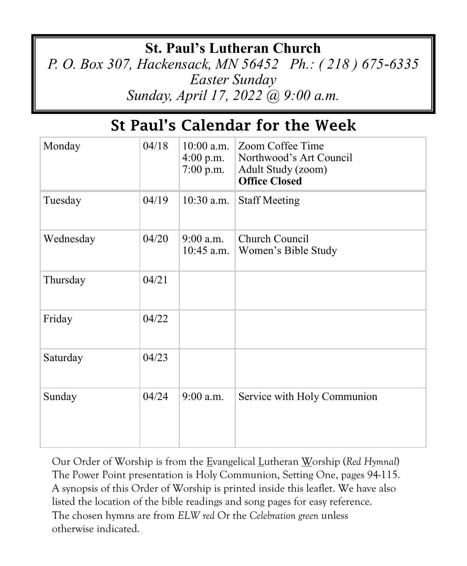## **St. Paul's Lutheran Church**

*P. O. Box 307, Hackensack, MN 56452 Ph.: ( 218 ) 675-6335 Easter Sunday Sunday, April 17, 2022 @ 9:00 a.m.*

## St Paul's Calendar for the Week

| Monday    | 04/18 | $10:00$ a.m.<br>$4:00$ p.m.<br>$7:00$ p.m. | Zoom Coffee Time<br>Northwood's Art Council<br>Adult Study (zoom)<br><b>Office Closed</b> |
|-----------|-------|--------------------------------------------|-------------------------------------------------------------------------------------------|
| Tuesday   | 04/19 | $10:30$ a.m.                               | <b>Staff Meeting</b>                                                                      |
| Wednesday | 04/20 | $9:00$ a.m.<br>$10:45$ a.m.                | Church Council<br>Women's Bible Study                                                     |
| Thursday  | 04/21 |                                            |                                                                                           |
| Friday    | 04/22 |                                            |                                                                                           |
| Saturday  | 04/23 |                                            |                                                                                           |
| Sunday    | 04/24 | $9:00$ a.m.                                | Service with Holy Communion                                                               |

Our Order of Worship is from the Evangelical Lutheran Worship (*Red Hymnal*) The Power Point presentation is Holy Communion, Setting One, pages 94-115. A synopsis of this Order of Worship is printed inside this leaflet. We have also listed the location of the bible readings and song pages for easy reference. The chosen hymns are from *ELW red* Or the *Celebration green* unless otherwise indicated.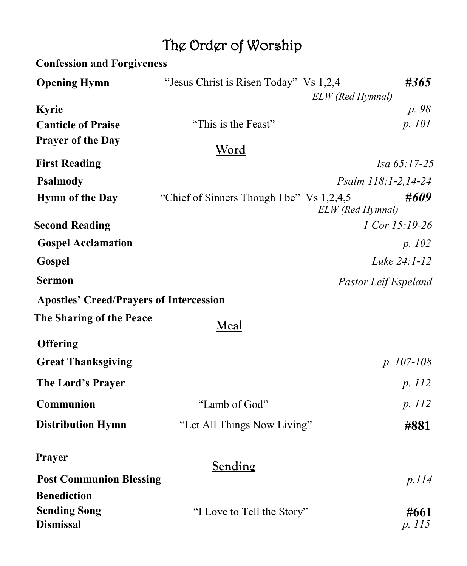# The Order of Worship

| <b>Confession and Forgiveness</b>              |                                            |                      |        |
|------------------------------------------------|--------------------------------------------|----------------------|--------|
| <b>Opening Hymn</b>                            | "Jesus Christ is Risen Today" Vs 1,2,4     | ELW (Red Hymnal)     | #365   |
| Kyrie                                          |                                            |                      | p. 98  |
| <b>Canticle of Praise</b>                      | "This is the Feast"                        |                      | p. 101 |
| <b>Prayer of the Day</b>                       | <u>Word</u>                                |                      |        |
| <b>First Reading</b>                           |                                            | Isa 65:17-25         |        |
| <b>Psalmody</b>                                |                                            | Psalm 118:1-2,14-24  |        |
| <b>Hymn of the Day</b>                         | "Chief of Sinners Though I be" Vs 1,2,4,5" | ELW (Red Hymnal)     | #609   |
| <b>Second Reading</b>                          |                                            | 1 Cor 15:19-26       |        |
| <b>Gospel Acclamation</b>                      |                                            |                      | p. 102 |
| Gospel                                         |                                            | Luke 24:1-12         |        |
| <b>Sermon</b>                                  |                                            | Pastor Leif Espeland |        |
| <b>Apostles' Creed/Prayers of Intercession</b> |                                            |                      |        |
| The Sharing of the Peace                       | Meal                                       |                      |        |
| <b>Offering</b>                                |                                            |                      |        |
| <b>Great Thanksgiving</b>                      |                                            | $p. 107-108$         |        |
| The Lord's Prayer                              |                                            |                      | p. 112 |
| <b>Communion</b>                               | "Lamb of God"                              |                      | p. 112 |
| <b>Distribution Hymn</b>                       | "Let All Things Now Living"                |                      | #881   |
| Prayer                                         | Sending                                    |                      |        |
| <b>Post Communion Blessing</b>                 |                                            |                      | p.114  |
| <b>Benediction</b>                             |                                            |                      |        |
| <b>Sending Song</b><br><b>Dismissal</b>        | "I Love to Tell the Story"                 | p. 115               | #661   |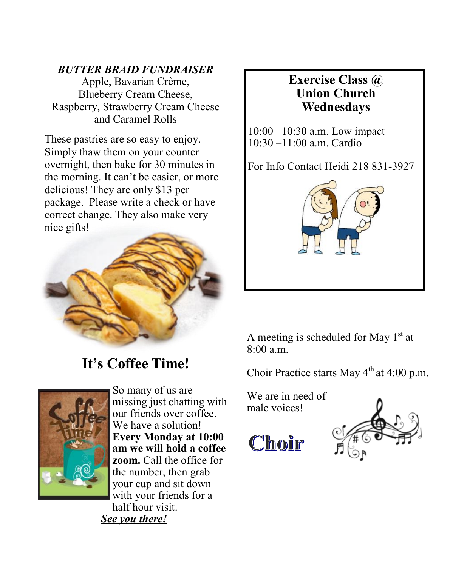#### *BUTTER BRAID FUNDRAISER*

Apple, Bavarian Crème, Blueberry Cream Cheese, Raspberry, Strawberry Cream Cheese and Caramel Rolls

These pastries are so easy to enjoy. Simply thaw them on your counter overnight, then bake for 30 minutes in the morning. It can't be easier, or more delicious! They are only \$13 per package. Please write a check or have correct change. They also make very nice gifts!



**It's Coffee Time!**



So many of us are missing just chatting with our friends over coffee. We have a solution! **Every Monday at 10:00 am we will hold a coffee zoom.** Call the office for the number, then grab your cup and sit down with your friends for a half hour visit. *See you there!* 

#### **Exercise Class @ Union Church Wednesdays**

10:00 –10:30 a.m. Low impact 10:30 –11:00 a.m. Cardio

For Info Contact Heidi 218 831-3927



A meeting is scheduled for May  $1<sup>st</sup>$  at 8:00 a.m.

Choir Practice starts May  $4<sup>th</sup>$  at 4:00 p.m.

We are in need of male voices!